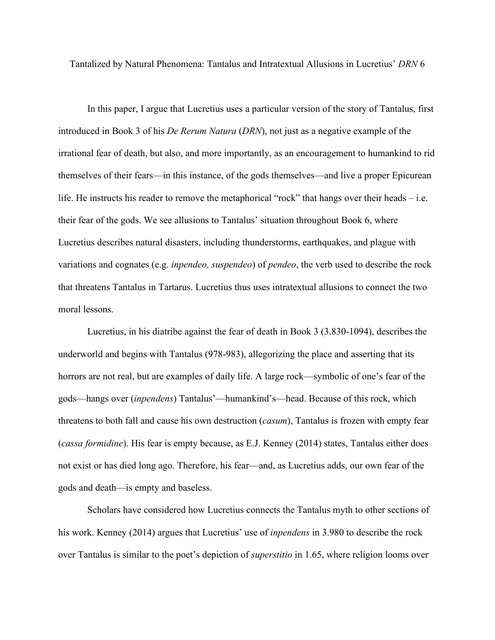Tantalized by Natural Phenomena: Tantalus and Intratextual Allusions in Lucretius' *DRN* 6

In this paper, I argue that Lucretius uses a particular version of the story of Tantalus, first introduced in Book 3 of his *De Rerum Natura* (*DRN*), not just as a negative example of the irrational fear of death, but also, and more importantly, as an encouragement to humankind to rid themselves of their fears—in this instance, of the gods themselves—and live a proper Epicurean life. He instructs his reader to remove the metaphorical "rock" that hangs over their heads – i.e. their fear of the gods. We see allusions to Tantalus' situation throughout Book 6, where Lucretius describes natural disasters, including thunderstorms, earthquakes, and plague with variations and cognates (e.g. *inpendeo, suspendeo*) of *pendeo*, the verb used to describe the rock that threatens Tantalus in Tartarus. Lucretius thus uses intratextual allusions to connect the two moral lessons.

Lucretius, in his diatribe against the fear of death in Book 3 (3.830-1094), describes the underworld and begins with Tantalus (978-983), allegorizing the place and asserting that its horrors are not real, but are examples of daily life. A large rock—symbolic of one's fear of the gods—hangs over (*inpendens*) Tantalus'—humankind's—head. Because of this rock, which threatens to both fall and cause his own destruction (*casum*), Tantalus is frozen with empty fear (*cassa formidine*). His fear is empty because, as E.J. Kenney (2014) states, Tantalus either does not exist or has died long ago. Therefore, his fear—and, as Lucretius adds, our own fear of the gods and death—is empty and baseless.

Scholars have considered how Lucretius connects the Tantalus myth to other sections of his work. Kenney (2014) argues that Lucretius' use of *inpendens* in 3.980 to describe the rock over Tantalus is similar to the poet's depiction of *superstitio* in 1.65, where religion looms over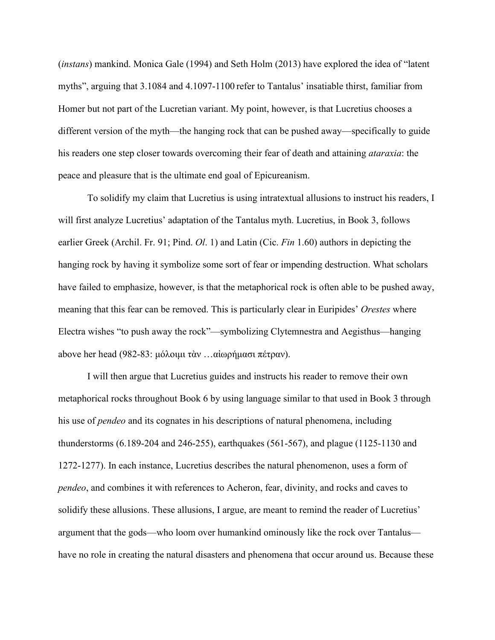(*instans*) mankind. Monica Gale (1994) and Seth Holm (2013) have explored the idea of "latent myths", arguing that 3.1084 and 4.1097-1100 refer to Tantalus' insatiable thirst, familiar from Homer but not part of the Lucretian variant. My point, however, is that Lucretius chooses a different version of the myth—the hanging rock that can be pushed away—specifically to guide his readers one step closer towards overcoming their fear of death and attaining *ataraxia*: the peace and pleasure that is the ultimate end goal of Epicureanism.

To solidify my claim that Lucretius is using intratextual allusions to instruct his readers, I will first analyze Lucretius' adaptation of the Tantalus myth. Lucretius, in Book 3, follows earlier Greek (Archil. Fr. 91; Pind. *Ol*. 1) and Latin (Cic. *Fin* 1.60) authors in depicting the hanging rock by having it symbolize some sort of fear or impending destruction. What scholars have failed to emphasize, however, is that the metaphorical rock is often able to be pushed away, meaning that this fear can be removed. This is particularly clear in Euripides' *Orestes* where Electra wishes "to push away the rock"—symbolizing Clytemnestra and Aegisthus—hanging above her head (982-83: [μόλοιμι](http://www.perseus.tufts.edu/hopper/morph?l=mo%2Floimi&la=greek&can=mo%2Floimi0&prior=*)hle/ktra) [τὰν](http://www.perseus.tufts.edu/hopper/morph?l=ta%5Cn&la=greek&can=ta%5Cn0&prior=mo/loimi) …[αἰωρήμασι](http://www.perseus.tufts.edu/hopper/morph?l=ai%29wrh%2Fmasi&la=greek&can=ai%29wrh%2Fmasi0&prior=tetame/nan) [πέτραν](http://www.perseus.tufts.edu/hopper/morph?l=pe%2Ftran&la=greek&can=pe%2Ftran0&prior=ai)wrh/masi)).

I will then argue that Lucretius guides and instructs his reader to remove their own metaphorical rocks throughout Book 6 by using language similar to that used in Book 3 through his use of *pendeo* and its cognates in his descriptions of natural phenomena, including thunderstorms (6.189-204 and 246-255), earthquakes (561-567), and plague (1125-1130 and 1272-1277). In each instance, Lucretius describes the natural phenomenon, uses a form of *pendeo*, and combines it with references to Acheron, fear, divinity, and rocks and caves to solidify these allusions. These allusions, I argue, are meant to remind the reader of Lucretius' argument that the gods—who loom over humankind ominously like the rock over Tantalus have no role in creating the natural disasters and phenomena that occur around us. Because these